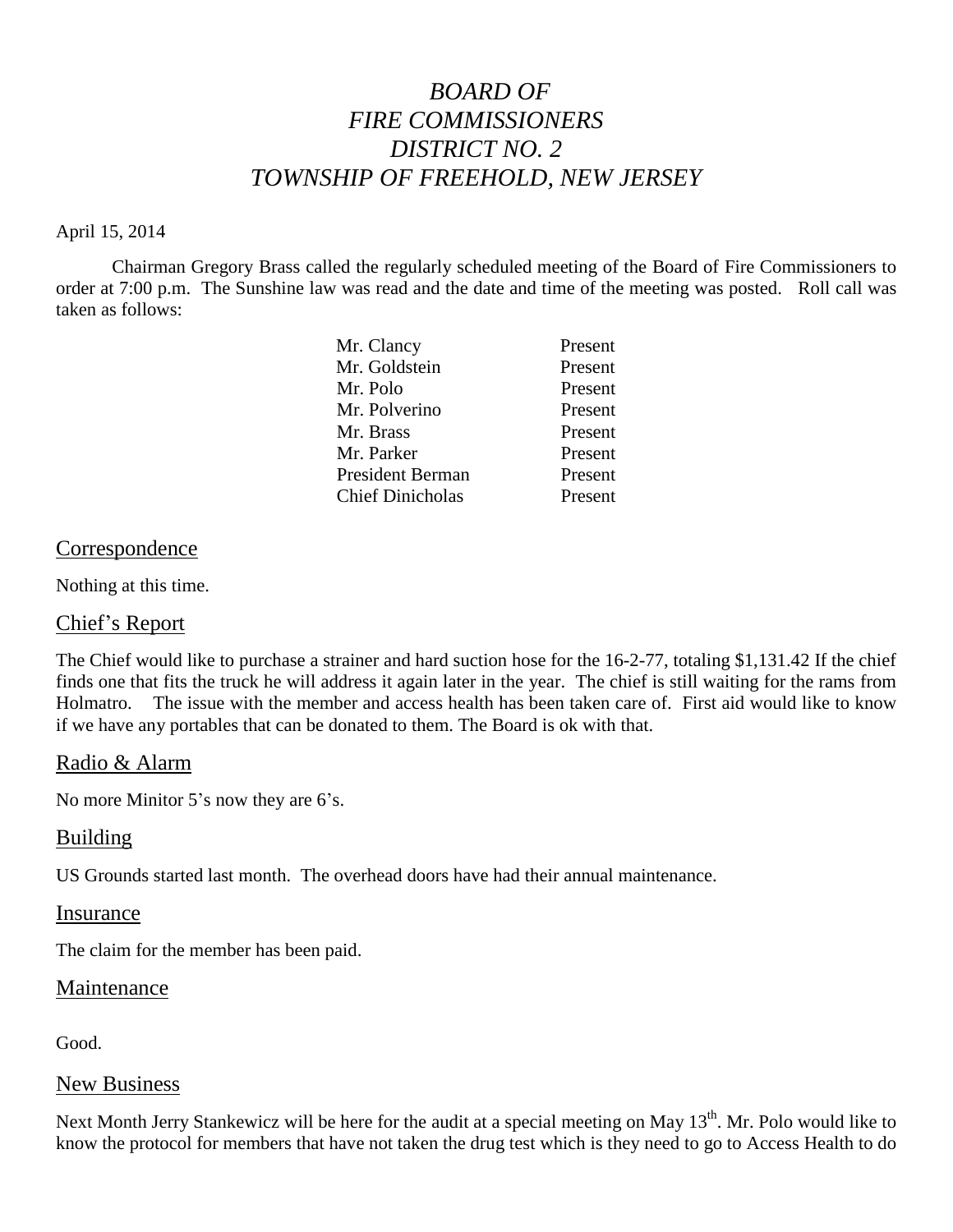# *BOARD OF FIRE COMMISSIONERS DISTRICT NO. 2 TOWNSHIP OF FREEHOLD, NEW JERSEY*

# April 15, 2014

Chairman Gregory Brass called the regularly scheduled meeting of the Board of Fire Commissioners to order at 7:00 p.m. The Sunshine law was read and the date and time of the meeting was posted. Roll call was taken as follows:

| Mr. Clancy              | Present |
|-------------------------|---------|
| Mr. Goldstein           | Present |
| Mr. Polo                | Present |
| Mr. Polverino           | Present |
| Mr. Brass               | Present |
| Mr. Parker              | Present |
| <b>President Berman</b> | Present |
| <b>Chief Dinicholas</b> | Present |

#### Correspondence

Nothing at this time.

### Chief's Report

The Chief would like to purchase a strainer and hard suction hose for the 16-2-77, totaling \$1,131.42 If the chief finds one that fits the truck he will address it again later in the year. The chief is still waiting for the rams from Holmatro. The issue with the member and access health has been taken care of. First aid would like to know if we have any portables that can be donated to them. The Board is ok with that.

#### Radio & Alarm

No more Minitor 5's now they are 6's.

#### Building

US Grounds started last month. The overhead doors have had their annual maintenance.

#### Insurance

The claim for the member has been paid.

#### Maintenance

Good.

#### New Business

Next Month Jerry Stankewicz will be here for the audit at a special meeting on May 13<sup>th</sup>. Mr. Polo would like to know the protocol for members that have not taken the drug test which is they need to go to Access Health to do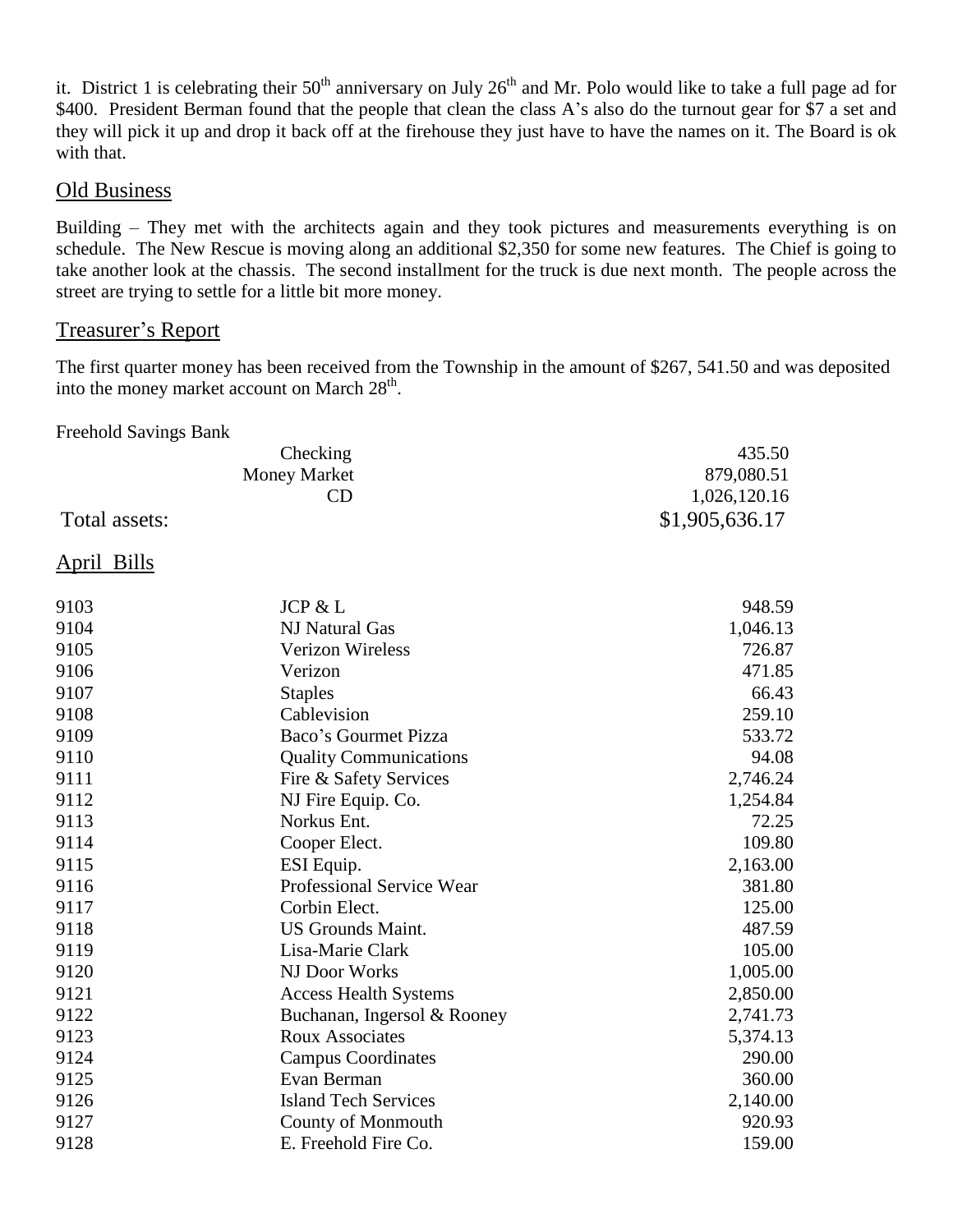it. District 1 is celebrating their  $50<sup>th</sup>$  anniversary on July  $26<sup>th</sup>$  and Mr. Polo would like to take a full page ad for \$400. President Berman found that the people that clean the class A's also do the turnout gear for \$7 a set and they will pick it up and drop it back off at the firehouse they just have to have the names on it. The Board is ok with that.

### Old Business

Building – They met with the architects again and they took pictures and measurements everything is on schedule. The New Rescue is moving along an additional \$2,350 for some new features. The Chief is going to take another look at the chassis. The second installment for the truck is due next month. The people across the street are trying to settle for a little bit more money.

# Treasurer's Report

The first quarter money has been received from the Township in the amount of \$267, 541.50 and was deposited into the money market account on March  $28<sup>th</sup>$ .

Freehold Savings Bank

| Checking            | 435.50         |
|---------------------|----------------|
| <b>Money Market</b> | 879,080.51     |
| CD                  | 1,026,120.16   |
| Total assets:       | \$1,905,636.17 |

# April Bills

| 9103 | JCP & L                       | 948.59   |
|------|-------------------------------|----------|
| 9104 | NJ Natural Gas                | 1,046.13 |
| 9105 | <b>Verizon Wireless</b>       | 726.87   |
| 9106 | Verizon                       | 471.85   |
| 9107 | <b>Staples</b>                | 66.43    |
| 9108 | Cablevision                   | 259.10   |
| 9109 | Baco's Gourmet Pizza          | 533.72   |
| 9110 | <b>Quality Communications</b> | 94.08    |
| 9111 | Fire & Safety Services        | 2,746.24 |
| 9112 | NJ Fire Equip. Co.            | 1,254.84 |
| 9113 | Norkus Ent.                   | 72.25    |
| 9114 | Cooper Elect.                 | 109.80   |
| 9115 | ESI Equip.                    | 2,163.00 |
| 9116 | Professional Service Wear     | 381.80   |
| 9117 | Corbin Elect.                 | 125.00   |
| 9118 | <b>US Grounds Maint.</b>      | 487.59   |
| 9119 | Lisa-Marie Clark              | 105.00   |
| 9120 | NJ Door Works                 | 1,005.00 |
| 9121 | <b>Access Health Systems</b>  | 2,850.00 |
| 9122 | Buchanan, Ingersol & Rooney   | 2,741.73 |
| 9123 | <b>Roux Associates</b>        | 5,374.13 |
| 9124 | <b>Campus Coordinates</b>     | 290.00   |
| 9125 | Evan Berman                   | 360.00   |
| 9126 | <b>Island Tech Services</b>   | 2,140.00 |
| 9127 | County of Monmouth            | 920.93   |
| 9128 | E. Freehold Fire Co.          | 159.00   |